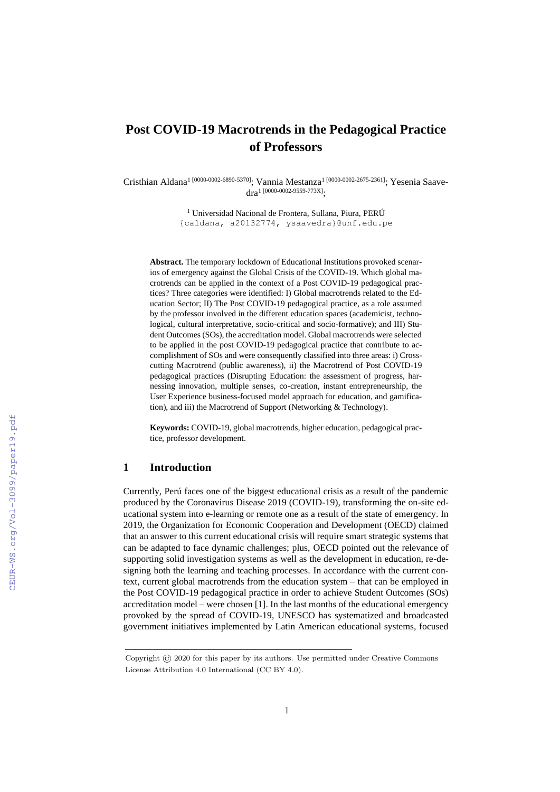# **Post COVID-19 Macrotrends in the Pedagogical Practice of Professors**

Cristhian Aldana<sup>1 [0000-0002-6890-5370]</sup>; Vannia Mestanza<sup>1 [0000-0002-2675-2361]; Yesenia Saave-</sup>  $dra^{1}$  [0000-0002-9559-773X].

> <sup>1</sup> Universidad Nacional de Frontera, Sullana, Piura, PERÚ {caldana, a20132774, ysaavedra}@unf.edu.pe

**Abstract.** The temporary lockdown of Educational Institutions provoked scenarios of emergency against the Global Crisis of the COVID-19. Which global macrotrends can be applied in the context of a Post COVID-19 pedagogical practices? Three categories were identified: I) Global macrotrends related to the Education Sector; II) The Post COVID-19 pedagogical practice, as a role assumed by the professor involved in the different education spaces (academicist, technological, cultural interpretative, socio-critical and socio-formative); and III) Student Outcomes (SOs), the accreditation model. Global macrotrends were selected to be applied in the post COVID-19 pedagogical practice that contribute to accomplishment of SOs and were consequently classified into three areas: i) Crosscutting Macrotrend (public awareness), ii) the Macrotrend of Post COVID-19 pedagogical practices (Disrupting Education: the assessment of progress, harnessing innovation, multiple senses, co-creation, instant entrepreneurship, the User Experience business-focused model approach for education, and gamification), and iii) the Macrotrend of Support (Networking & Technology).

**Keywords:** COVID-19, global macrotrends, higher education, pedagogical practice, professor development.

# **1 Introduction**

Currently, Perú faces one of the biggest educational crisis as a result of the pandemic produced by the Coronavirus Disease 2019 (COVID-19), transforming the on-site educational system into e-learning or remote one as a result of the state of emergency. In 2019, the Organization for Economic Cooperation and Development (OECD) claimed that an answer to this current educational crisis will require smart strategic systems that can be adapted to face dynamic challenges; plus, OECD pointed out the relevance of supporting solid investigation systems as well as the development in education, re-designing both the learning and teaching processes. In accordance with the current context, current global macrotrends from the education system – that can be employed in the Post COVID-19 pedagogical practice in order to achieve Student Outcomes (SOs) accreditation model – were chosen [1]. In the last months of the educational emergency provoked by the spread of COVID-19, UNESCO has systematized and broadcasted government initiatives implemented by Latin American educational systems, focused

Copyright © 2020 for this paper by its authors. Use permitted under Creative Commons License Attribution 4.0 International (CC BY 4.0).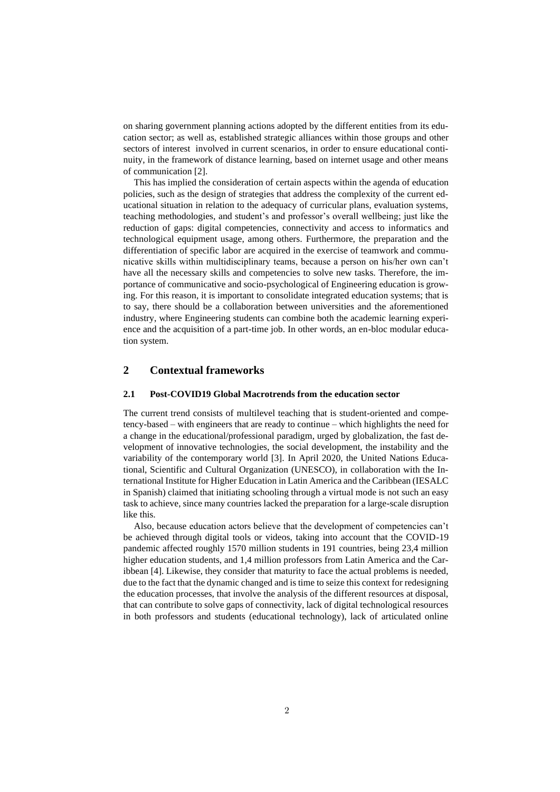on sharing government planning actions adopted by the different entities from its education sector; as well as, established strategic alliances within those groups and other sectors of interest involved in current scenarios, in order to ensure educational continuity, in the framework of distance learning, based on internet usage and other means of communication [2].

This has implied the consideration of certain aspects within the agenda of education policies, such as the design of strategies that address the complexity of the current educational situation in relation to the adequacy of curricular plans, evaluation systems, teaching methodologies, and student's and professor's overall wellbeing; just like the reduction of gaps: digital competencies, connectivity and access to informatics and technological equipment usage, among others. Furthermore, the preparation and the differentiation of specific labor are acquired in the exercise of teamwork and communicative skills within multidisciplinary teams, because a person on his/her own can't have all the necessary skills and competencies to solve new tasks. Therefore, the importance of communicative and socio-psychological of Engineering education is growing. For this reason, it is important to consolidate integrated education systems; that is to say, there should be a collaboration between universities and the aforementioned industry, where Engineering students can combine both the academic learning experience and the acquisition of a part-time job. In other words, an en-bloc modular education system.

### **2 Contextual frameworks**

#### **2.1 Post-COVID19 Global Macrotrends from the education sector**

The current trend consists of multilevel teaching that is student-oriented and competency-based – with engineers that are ready to continue – which highlights the need for a change in the educational/professional paradigm, urged by globalization, the fast development of innovative technologies, the social development, the instability and the variability of the contemporary world [3]. In April 2020, the United Nations Educational, Scientific and Cultural Organization (UNESCO), in collaboration with the International Institute for Higher Education in Latin America and the Caribbean (IESALC in Spanish) claimed that initiating schooling through a virtual mode is not such an easy task to achieve, since many countries lacked the preparation for a large-scale disruption like this.

Also, because education actors believe that the development of competencies can't be achieved through digital tools or videos, taking into account that the COVID-19 pandemic affected roughly 1570 million students in 191 countries, being 23,4 million higher education students, and 1,4 million professors from Latin America and the Caribbean [4]. Likewise, they consider that maturity to face the actual problems is needed, due to the fact that the dynamic changed and is time to seize this context for redesigning the education processes, that involve the analysis of the different resources at disposal, that can contribute to solve gaps of connectivity, lack of digital technological resources in both professors and students (educational technology), lack of articulated online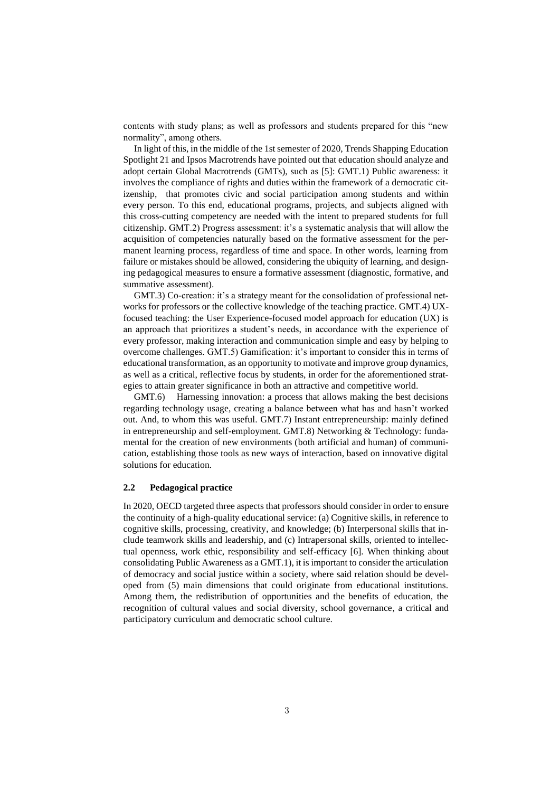contents with study plans; as well as professors and students prepared for this "new normality", among others.

In light of this, in the middle of the 1st semester of 2020, Trends Shapping Education Spotlight 21 and Ipsos Macrotrends have pointed out that education should analyze and adopt certain Global Macrotrends (GMTs), such as [5]: GMT.1) Public awareness: it involves the compliance of rights and duties within the framework of a democratic citizenship, that promotes civic and social participation among students and within every person. To this end, educational programs, projects, and subjects aligned with this cross-cutting competency are needed with the intent to prepared students for full citizenship. GMT.2) Progress assessment: it's a systematic analysis that will allow the acquisition of competencies naturally based on the formative assessment for the permanent learning process, regardless of time and space. In other words, learning from failure or mistakes should be allowed, considering the ubiquity of learning, and designing pedagogical measures to ensure a formative assessment (diagnostic, formative, and summative assessment).

GMT.3) Co-creation: it's a strategy meant for the consolidation of professional networks for professors or the collective knowledge of the teaching practice. GMT.4) UXfocused teaching: the User Experience-focused model approach for education (UX) is an approach that prioritizes a student's needs, in accordance with the experience of every professor, making interaction and communication simple and easy by helping to overcome challenges. GMT.5) Gamification: it's important to consider this in terms of educational transformation, as an opportunity to motivate and improve group dynamics, as well as a critical, reflective focus by students, in order for the aforementioned strategies to attain greater significance in both an attractive and competitive world.

GMT.6) Harnessing innovation: a process that allows making the best decisions regarding technology usage, creating a balance between what has and hasn't worked out. And, to whom this was useful. GMT.7) Instant entrepreneurship: mainly defined in entrepreneurship and self-employment. GMT.8) Networking & Technology: fundamental for the creation of new environments (both artificial and human) of communication, establishing those tools as new ways of interaction, based on innovative digital solutions for education.

#### **2.2 Pedagogical practice**

In 2020, OECD targeted three aspects that professors should consider in order to ensure the continuity of a high-quality educational service: (a) Cognitive skills, in reference to cognitive skills, processing, creativity, and knowledge; (b) Interpersonal skills that include teamwork skills and leadership, and (c) Intrapersonal skills, oriented to intellectual openness, work ethic, responsibility and self-efficacy [6]. When thinking about consolidating Public Awareness as a GMT.1), it is important to consider the articulation of democracy and social justice within a society, where said relation should be developed from (5) main dimensions that could originate from educational institutions. Among them, the redistribution of opportunities and the benefits of education, the recognition of cultural values and social diversity, school governance, a critical and participatory curriculum and democratic school culture.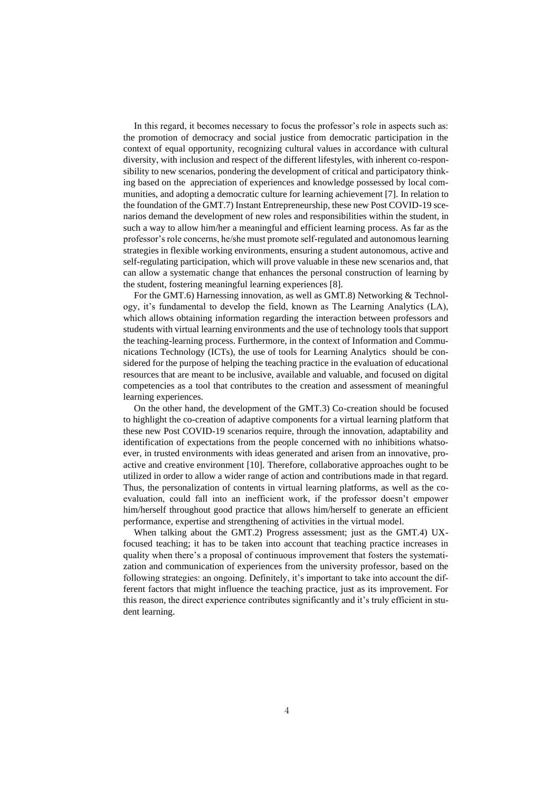In this regard, it becomes necessary to focus the professor's role in aspects such as: the promotion of democracy and social justice from democratic participation in the context of equal opportunity, recognizing cultural values in accordance with cultural diversity, with inclusion and respect of the different lifestyles, with inherent co-responsibility to new scenarios, pondering the development of critical and participatory thinking based on the appreciation of experiences and knowledge possessed by local communities, and adopting a democratic culture for learning achievement [7]. In relation to the foundation of the GMT.7) Instant Entrepreneurship, these new Post COVID-19 scenarios demand the development of new roles and responsibilities within the student, in such a way to allow him/her a meaningful and efficient learning process. As far as the professor's role concerns, he/she must promote self-regulated and autonomous learning strategies in flexible working environments, ensuring a student autonomous, active and self-regulating participation, which will prove valuable in these new scenarios and, that can allow a systematic change that enhances the personal construction of learning by the student, fostering meaningful learning experiences [8].

For the GMT.6) Harnessing innovation, as well as GMT.8) Networking & Technology, it's fundamental to develop the field, known as The Learning Analytics (LA), which allows obtaining information regarding the interaction between professors and students with virtual learning environments and the use of technology tools that support the teaching-learning process. Furthermore, in the context of Information and Communications Technology (ICTs), the use of tools for Learning Analytics should be considered for the purpose of helping the teaching practice in the evaluation of educational resources that are meant to be inclusive, available and valuable, and focused on digital competencies as a tool that contributes to the creation and assessment of meaningful learning experiences.

On the other hand, the development of the GMT.3) Co-creation should be focused to highlight the co-creation of adaptive components for a virtual learning platform that these new Post COVID-19 scenarios require, through the innovation, adaptability and identification of expectations from the people concerned with no inhibitions whatsoever, in trusted environments with ideas generated and arisen from an innovative, proactive and creative environment [10]. Therefore, collaborative approaches ought to be utilized in order to allow a wider range of action and contributions made in that regard. Thus, the personalization of contents in virtual learning platforms, as well as the coevaluation, could fall into an inefficient work, if the professor doesn't empower him/herself throughout good practice that allows him/herself to generate an efficient performance, expertise and strengthening of activities in the virtual model.

When talking about the GMT.2) Progress assessment; just as the GMT.4) UXfocused teaching; it has to be taken into account that teaching practice increases in quality when there's a proposal of continuous improvement that fosters the systematization and communication of experiences from the university professor, based on the following strategies: an ongoing. Definitely, it's important to take into account the different factors that might influence the teaching practice, just as its improvement. For this reason, the direct experience contributes significantly and it's truly efficient in student learning.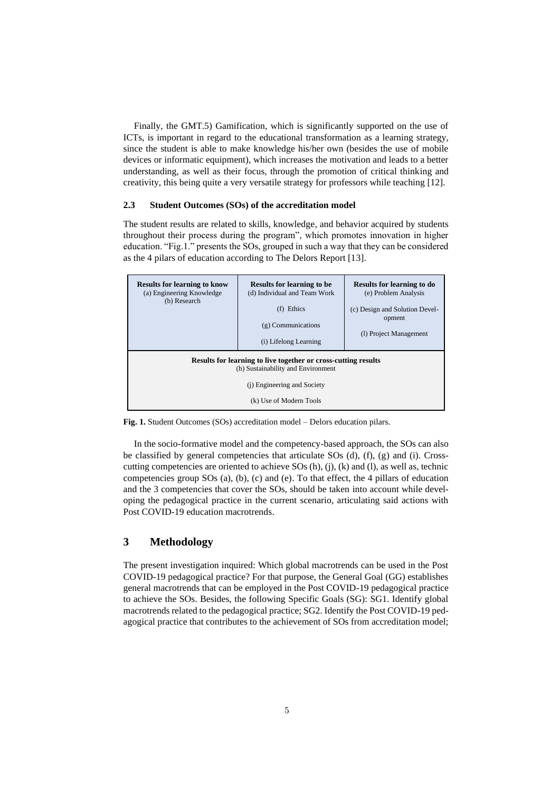Finally, the GMT.5) Gamification, which is significantly supported on the use of ICTs, is important in regard to the educational transformation as a learning strategy, since the student is able to make knowledge his/her own (besides the use of mobile devices or informatic equipment), which increases the motivation and leads to a better understanding, as well as their focus, through the promotion of critical thinking and creativity, this being quite a very versatile strategy for professors while teaching [12].

#### **2.3 Student Outcomes (SOs) of the accreditation model**

The student results are related to skills, knowledge, and behavior acquired by students throughout their process during the program", which promotes innovation in higher education. "Fig.1." presents the SOs, grouped in such a way that they can be considered as the 4 pilars of education according to The Delors Report [13].



**Fig. 1.** Student Outcomes (SOs) accreditation model – Delors education pilars.

In the socio-formative model and the competency-based approach, the SOs can also be classified by general competencies that articulate SOs (d), (f), (g) and (i). Crosscutting competencies are oriented to achieve SOs (h), (j), (k) and (l), as well as, technic competencies group SOs (a), (b), (c) and (e). To that effect, the 4 pillars of education and the 3 competencies that cover the SOs, should be taken into account while developing the pedagogical practice in the current scenario, articulating said actions with Post COVID-19 education macrotrends.

# **3 Methodology**

The present investigation inquired: Which global macrotrends can be used in the Post COVID-19 pedagogical practice? For that purpose, the General Goal (GG) establishes general macrotrends that can be employed in the Post COVID-19 pedagogical practice to achieve the SOs. Besides, the following Specific Goals (SG): SG1. Identify global macrotrends related to the pedagogical practice; SG2. Identify the Post COVID-19 pedagogical practice that contributes to the achievement of SOs from accreditation model;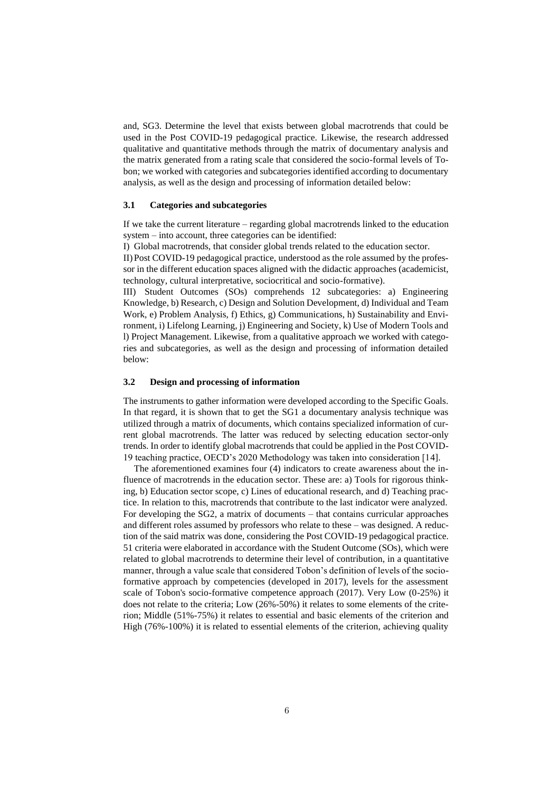and, SG3. Determine the level that exists between global macrotrends that could be used in the Post COVID-19 pedagogical practice. Likewise, the research addressed qualitative and quantitative methods through the matrix of documentary analysis and the matrix generated from a rating scale that considered the socio-formal levels of Tobon; we worked with categories and subcategories identified according to documentary analysis, as well as the design and processing of information detailed below:

#### **3.1 Categories and subcategories**

If we take the current literature – regarding global macrotrends linked to the education system – into account, three categories can be identified:

I) Global macrotrends, that consider global trends related to the education sector.

II)Post COVID-19 pedagogical practice, understood as the role assumed by the professor in the different education spaces aligned with the didactic approaches (academicist, technology, cultural interpretative, sociocritical and socio-formative).

III) Student Outcomes (SOs) comprehends 12 subcategories: a) Engineering Knowledge, b) Research, c) Design and Solution Development, d) Individual and Team Work, e) Problem Analysis, f) Ethics, g) Communications, h) Sustainability and Environment, i) Lifelong Learning, j) Engineering and Society, k) Use of Modern Tools and l) Project Management. Likewise, from a qualitative approach we worked with categories and subcategories, as well as the design and processing of information detailed below:

#### **3.2 Design and processing of information**

The instruments to gather information were developed according to the Specific Goals. In that regard, it is shown that to get the SG1 a documentary analysis technique was utilized through a matrix of documents, which contains specialized information of current global macrotrends. The latter was reduced by selecting education sector-only trends. In order to identify global macrotrends that could be applied in the Post COVID-19 teaching practice, OECD's 2020 Methodology was taken into consideration [14].

The aforementioned examines four (4) indicators to create awareness about the influence of macrotrends in the education sector. These are: a) Tools for rigorous thinking, b) Education sector scope, c) Lines of educational research, and d) Teaching practice. In relation to this, macrotrends that contribute to the last indicator were analyzed. For developing the SG2, a matrix of documents – that contains curricular approaches and different roles assumed by professors who relate to these – was designed. A reduction of the said matrix was done, considering the Post COVID-19 pedagogical practice. 51 criteria were elaborated in accordance with the Student Outcome (SOs), which were related to global macrotrends to determine their level of contribution, in a quantitative manner, through a value scale that considered Tobon's definition of levels of the socioformative approach by competencies (developed in 2017), levels for the assessment scale of Tobon's socio-formative competence approach (2017). Very Low (0-25%) it does not relate to the criteria; Low (26%-50%) it relates to some elements of the criterion; Middle (51%-75%) it relates to essential and basic elements of the criterion and High (76%-100%) it is related to essential elements of the criterion, achieving quality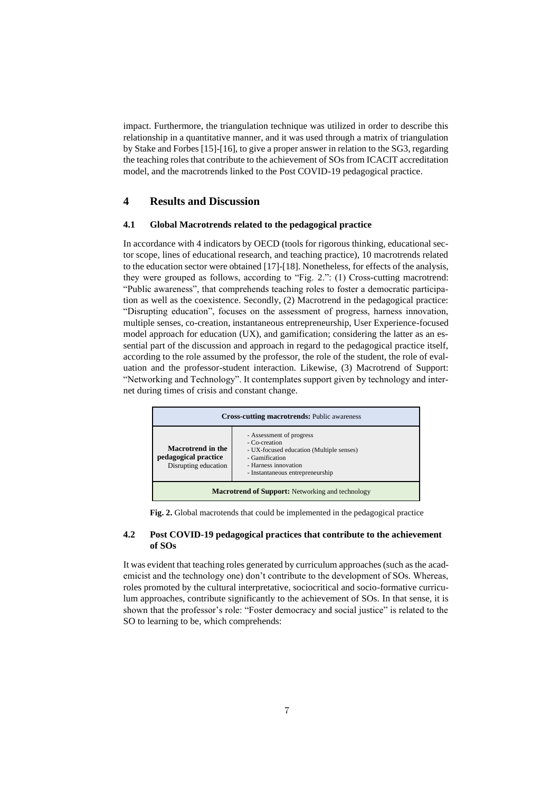impact. Furthermore, the triangulation technique was utilized in order to describe this relationship in a quantitative manner, and it was used through a matrix of triangulation by Stake and Forbes [15]-[16], to give a proper answer in relation to the SG3, regarding the teaching roles that contribute to the achievement of SOs from ICACIT accreditation model, and the macrotrends linked to the Post COVID-19 pedagogical practice.

## **4 Results and Discussion**

### **4.1 Global Macrotrends related to the pedagogical practice**

In accordance with 4 indicators by OECD (tools for rigorous thinking, educational sector scope, lines of educational research, and teaching practice), 10 macrotrends related to the education sector were obtained [17]-[18]. Nonetheless, for effects of the analysis, they were grouped as follows, according to "Fig. 2.": (1) Cross-cutting macrotrend: "Public awareness", that comprehends teaching roles to foster a democratic participation as well as the coexistence. Secondly, (2) Macrotrend in the pedagogical practice: "Disrupting education", focuses on the assessment of progress, harness innovation, multiple senses, co-creation, instantaneous entrepreneurship, User Experience-focused model approach for education (UX), and gamification; considering the latter as an essential part of the discussion and approach in regard to the pedagogical practice itself, according to the role assumed by the professor, the role of the student, the role of evaluation and the professor-student interaction. Likewise, (3) Macrotrend of Support: "Networking and Technology". It contemplates support given by technology and internet during times of crisis and constant change.



**Fig. 2.** Global macrotends that could be implemented in the pedagogical practice

#### **4.2 Post COVID-19 pedagogical practices that contribute to the achievement of SOs**

It was evident that teaching roles generated by curriculum approaches (such as the academicist and the technology one) don't contribute to the development of SOs. Whereas, roles promoted by the cultural interpretative, sociocritical and socio-formative curriculum approaches, contribute significantly to the achievement of SOs. In that sense, it is shown that the professor's role: "Foster democracy and social justice" is related to the SO to learning to be, which comprehends: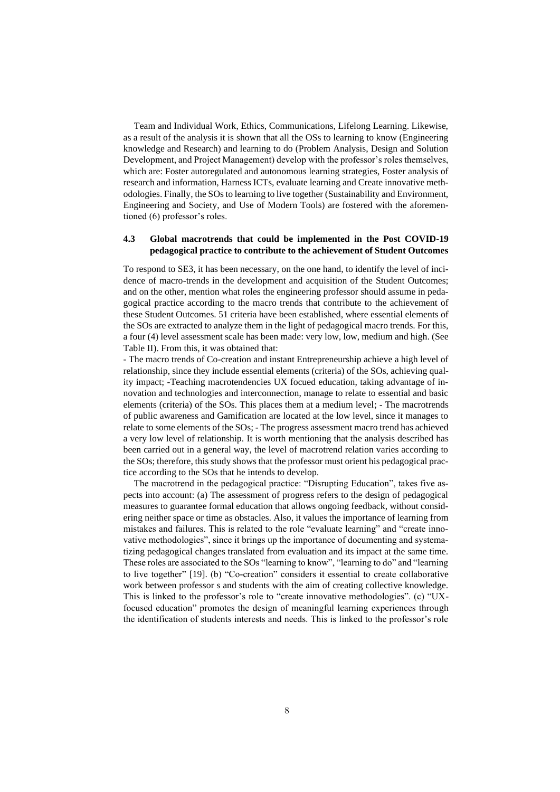Team and Individual Work, Ethics, Communications, Lifelong Learning. Likewise, as a result of the analysis it is shown that all the OSs to learning to know (Engineering knowledge and Research) and learning to do (Problem Analysis, Design and Solution Development, and Project Management) develop with the professor's roles themselves, which are: Foster autoregulated and autonomous learning strategies, Foster analysis of research and information, Harness ICTs, evaluate learning and Create innovative methodologies. Finally, the SOs to learning to live together (Sustainability and Environment, Engineering and Society, and Use of Modern Tools) are fostered with the aforementioned (6) professor's roles.

#### **4.3 Global macrotrends that could be implemented in the Post COVID-19 pedagogical practice to contribute to the achievement of Student Outcomes**

To respond to SE3, it has been necessary, on the one hand, to identify the level of incidence of macro-trends in the development and acquisition of the Student Outcomes; and on the other, mention what roles the engineering professor should assume in pedagogical practice according to the macro trends that contribute to the achievement of these Student Outcomes. 51 criteria have been established, where essential elements of the SOs are extracted to analyze them in the light of pedagogical macro trends. For this, a four (4) level assessment scale has been made: very low, low, medium and high. (See Table II). From this, it was obtained that:

- The macro trends of Co-creation and instant Entrepreneurship achieve a high level of relationship, since they include essential elements (criteria) of the SOs, achieving quality impact; -Teaching macrotendencies UX focued education, taking advantage of innovation and technologies and interconnection, manage to relate to essential and basic elements (criteria) of the SOs. This places them at a medium level; - The macrotrends of public awareness and Gamification are located at the low level, since it manages to relate to some elements of the SOs; - The progress assessment macro trend has achieved a very low level of relationship. It is worth mentioning that the analysis described has been carried out in a general way, the level of macrotrend relation varies according to the SOs; therefore, this study shows that the professor must orient his pedagogical practice according to the SOs that he intends to develop.

The macrotrend in the pedagogical practice: "Disrupting Education", takes five aspects into account: (a) The assessment of progress refers to the design of pedagogical measures to guarantee formal education that allows ongoing feedback, without considering neither space or time as obstacles. Also, it values the importance of learning from mistakes and failures. This is related to the role "evaluate learning" and "create innovative methodologies", since it brings up the importance of documenting and systematizing pedagogical changes translated from evaluation and its impact at the same time. These roles are associated to the SOs "learning to know", "learning to do" and "learning to live together" [19]. (b) "Co-creation" considers it essential to create collaborative work between professor s and students with the aim of creating collective knowledge. This is linked to the professor's role to "create innovative methodologies". (c) "UXfocused education" promotes the design of meaningful learning experiences through the identification of students interests and needs. This is linked to the professor's role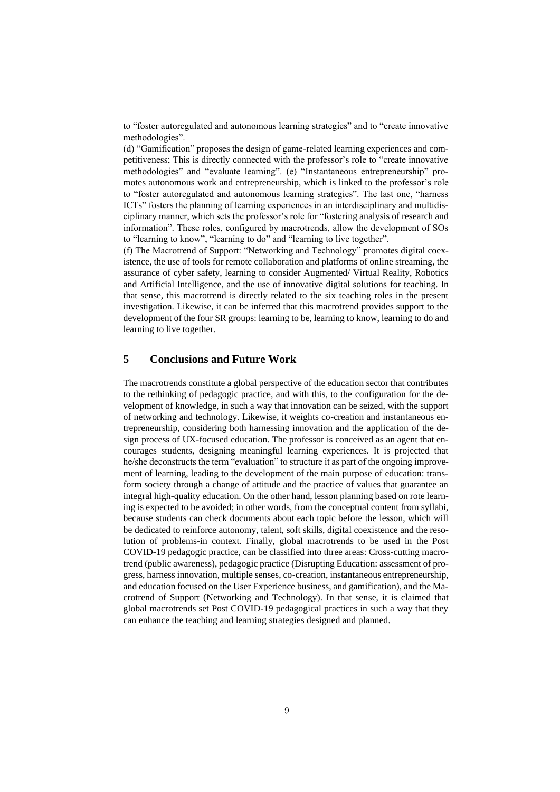to "foster autoregulated and autonomous learning strategies" and to "create innovative methodologies".

(d) "Gamification" proposes the design of game-related learning experiences and competitiveness; This is directly connected with the professor's role to "create innovative methodologies" and "evaluate learning". (e) "Instantaneous entrepreneurship" promotes autonomous work and entrepreneurship, which is linked to the professor's role to "foster autoregulated and autonomous learning strategies". The last one, "harness ICTs" fosters the planning of learning experiences in an interdisciplinary and multidisciplinary manner, which sets the professor's role for "fostering analysis of research and information". These roles, configured by macrotrends, allow the development of SOs to "learning to know", "learning to do" and "learning to live together".

(f) The Macrotrend of Support: "Networking and Technology" promotes digital coexistence, the use of tools for remote collaboration and platforms of online streaming, the assurance of cyber safety, learning to consider Augmented/ Virtual Reality, Robotics and Artificial Intelligence, and the use of innovative digital solutions for teaching. In that sense, this macrotrend is directly related to the six teaching roles in the present investigation. Likewise, it can be inferred that this macrotrend provides support to the development of the four SR groups: learning to be, learning to know, learning to do and learning to live together.

### **5 Conclusions and Future Work**

The macrotrends constitute a global perspective of the education sector that contributes to the rethinking of pedagogic practice, and with this, to the configuration for the development of knowledge, in such a way that innovation can be seized, with the support of networking and technology. Likewise, it weights co-creation and instantaneous entrepreneurship, considering both harnessing innovation and the application of the design process of UX-focused education. The professor is conceived as an agent that encourages students, designing meaningful learning experiences. It is projected that he/she deconstructs the term "evaluation" to structure it as part of the ongoing improvement of learning, leading to the development of the main purpose of education: transform society through a change of attitude and the practice of values that guarantee an integral high-quality education. On the other hand, lesson planning based on rote learning is expected to be avoided; in other words, from the conceptual content from syllabi, because students can check documents about each topic before the lesson, which will be dedicated to reinforce autonomy, talent, soft skills, digital coexistence and the resolution of problems-in context. Finally, global macrotrends to be used in the Post COVID-19 pedagogic practice, can be classified into three areas: Cross-cutting macrotrend (public awareness), pedagogic practice (Disrupting Education: assessment of progress, harness innovation, multiple senses, co-creation, instantaneous entrepreneurship, and education focused on the User Experience business, and gamification), and the Macrotrend of Support (Networking and Technology). In that sense, it is claimed that global macrotrends set Post COVID-19 pedagogical practices in such a way that they can enhance the teaching and learning strategies designed and planned.